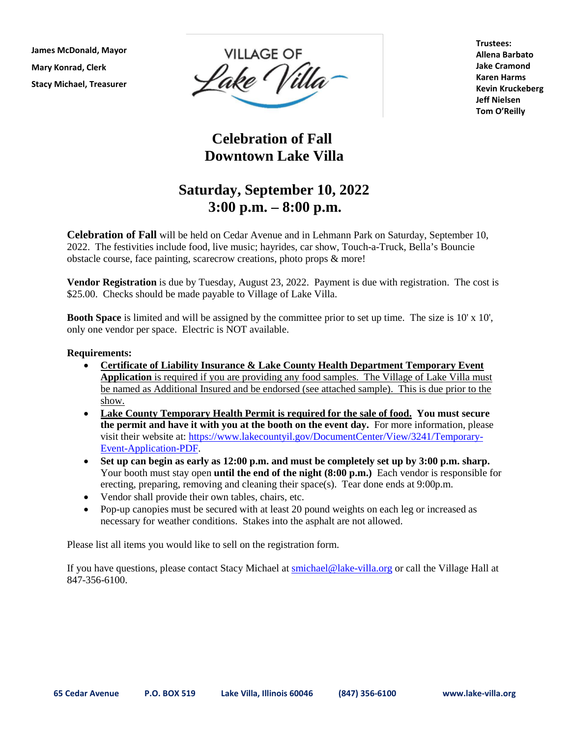**James McDonald, Mayor Mary Konrad, Clerk Stacy Michael, Treasurer**



**Trustees: Allena Barbato Jake Cramond Karen Harms Kevin Kruckeberg Jeff Nielsen Tom O'Reilly**

## **Celebration of Fall Downtown Lake Villa**

## **Saturday, September 10, 2022 3:00 p.m. – 8:00 p.m.**

**Celebration of Fall** will be held on Cedar Avenue and in Lehmann Park on Saturday, September 10, 2022. The festivities include food, live music; hayrides, car show, Touch-a-Truck, Bella's Bouncie obstacle course, face painting, scarecrow creations, photo props & more!

**Vendor Registration** is due by Tuesday, August 23, 2022. Payment is due with registration. The cost is \$25.00. Checks should be made payable to Village of Lake Villa.

**Booth Space** is limited and will be assigned by the committee prior to set up time. The size is 10' x 10', only one vendor per space. Electric is NOT available.

## **Requirements:**

- **Certificate of Liability Insurance & Lake County Health Department Temporary Event Application** is required if you are providing any food samples. The Village of Lake Villa must be named as Additional Insured and be endorsed (see attached sample). This is due prior to the show.
- **Lake County Temporary Health Permit is required for the sale of food. You must secure the permit and have it with you at the booth on the event day.** For more information, please visit their website at[: https://www.lakecountyil.gov/DocumentCenter/View/3241/Temporary-](https://www.lakecountyil.gov/DocumentCenter/View/3241/Temporary-Event-Application-PDF)[Event-Application-PDF.](https://www.lakecountyil.gov/DocumentCenter/View/3241/Temporary-Event-Application-PDF)
- **Set up can begin as early as 12:00 p.m. and must be completely set up by 3:00 p.m. sharp.**  Your booth must stay open **until the end of the night (8:00 p.m.)** Each vendor is responsible for erecting, preparing, removing and cleaning their space(s). Tear done ends at 9:00p.m.
- Vendor shall provide their own tables, chairs, etc.
- Pop-up canopies must be secured with at least 20 pound weights on each leg or increased as necessary for weather conditions. Stakes into the asphalt are not allowed.

Please list all items you would like to sell on the registration form.

If you have questions, please contact Stacy Michael at **smichael@lake-villa.org** or call the Village Hall at 847-356-6100.